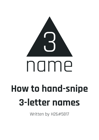

Written by H26#5817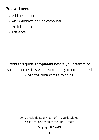# **You will need:**

- A Minecraft account
- Any Windows or Mac computer
- An internet connection
- Patience

Read this guide **completely** before you attempt to snipe a name. This will ensure that you are prepared when the time comes to snipe!

> Do not redistribute any part of this guide without explicit permission from the 3NAME team.

#### **Copyright © 3NAME**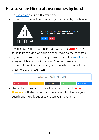# **How to snipe Minecraft usernames by hand**

- Go [3name.xyz](https://3name.xyz/) to find a 3 letter name.
- You will find yourself on a homepage welcomed by this banner:



- If you know what 3 letter name you want click **Search** and search for it. If it's available or available soon, move to the next step.
- If you don't know what name you want, then click **View List** to see every available and available-soon 3-letter username.
- If you still can't find something, press search and you will be presented with these filters:



- These filters allow you to select whether you want **Letters**, **Numbers** or **Underscores** in your name which will refine your search and make it easier to choose your next name!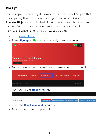## **Pro Tip:**

Some people use bots to get usernames, and people sell "snipes" that are sniped by their bot. One of the largest username snipers is **Chearful Ninja**. You should check if the name you want is being taken by them first, because if they are sniping it already, you will face inevitable disappointment. Here's how you do that:

- Go to [chearful.ninja](https://chearful.ninja/)
- Press **Sign up** or **Sign in** if you already have an account

|                          | chearful.ninja                                                                       |                              | Home<br>About                                          | Sign in<br>Sign up |                                |
|--------------------------|--------------------------------------------------------------------------------------|------------------------------|--------------------------------------------------------|--------------------|--------------------------------|
|                          | Welcome to chearful.ninja<br>Snipe with the best, not with the rest.<br>Snipe a name |                              |                                                        |                    |                                |
| $\overline{\phantom{a}}$ | Follow the on-screen instructions to make an account or log in                       |                              |                                                        |                    |                                |
|                          | Dashboard<br>About                                                                   | Snipe Shop                   | <b>Account Shop</b>                                    | Sign out           |                                |
|                          | Premium<br><b>Discord</b>                                                            |                              |                                                        | Home               |                                |
| -                        | Navigate to the <b>Snipe Shop</b> tab                                                |                              |                                                        |                    |                                |
|                          | Dashboard<br>New Ticket<br>Purchase Credits                                          | Redeem Code<br>Giftcode Shop | Get Premium<br><b>Discord</b>                          |                    | Home                           |
|                          | Snipe Shop                                                                           | <b>Check Availability</b>    | Subscribe to a notification when your request is added |                    | Request for a name to be added |
| -                        | Press the <b>Check Availability</b> button                                           |                              |                                                        |                    |                                |

- Type in your name and press ok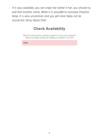- If it says available, you can snipe the name! If not, you should try and find another name. While it is *possible* to outsnipe Chearful Ninja, it is very uncommon and you will most likely not be successful. Sorry about that!

## **Check Availability**

Want to see if we are sniping a name or if you can request it without actually ending up making a request? Use this!

wbw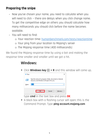### **Preparing the snipe**

- Now you've chosen your name, you need to calculate when you will need to click — there are delays when you click change name. To get the competitive edge on others you should calculate how many milliseconds you should click before the name becomes available.
- You will need to find:
	- o Your reaction time: [humanbenchmark.com/tests/reactiontime](http://www.humanbenchmark.com/tests/reactiontime)
	- o Your ping from your location to Mojang's server
	- o The Mojang response time (400 milliseconds)

We found the Mojang response time by using a bot and making the response time smaller and smaller until we got a hit.

#### **Windows:**

■ Click **Windows key ⊞ + R** and this window will come up,



type **cmd** in the text box and press **OK**

▪ A black box with a flashing cursor will open; this is the Command Prompt. Type **ping account.mojang.com**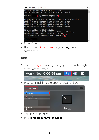

- **Press Enter**
- The number circled in red is your **ping**, note it down somewhere!

#### **Mac:**

■ Open Spotlight, the magnifying glass in the top-right corner of the screen.



▪ Type 'terminal' into the Spotlight search box.

| २ terminal              | ∼               |
|-------------------------|-----------------|
| <b>TOP HIT</b>          |                 |
| <b>Terminal</b>         |                 |
| <b>DEFINITION</b>       |                 |
| terminal<br>An.         |                 |
| SIRI SUGGESTED WEBSITES |                 |
|                         |                 |
| TV PROGRAMME            | <b>Terminal</b> |
| The Terminal            | Version: 2.9.5  |
| <b>FILMS</b>            |                 |

- Double-click Terminal.
- Type **ping account.mojang.com**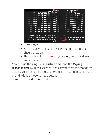|                                            |  |  |                                                       |  | \$ ping account.mojang.com |                                                               |  |
|--------------------------------------------|--|--|-------------------------------------------------------|--|----------------------------|---------------------------------------------------------------|--|
|                                            |  |  | PING account.mojang.com (99.86.115.66): 56 data bytes |  |                            |                                                               |  |
|                                            |  |  |                                                       |  |                            | 64 bytes from 99.86.115.66: icmp_seq=0 ttl=244 time=8.791 ms  |  |
|                                            |  |  |                                                       |  |                            | 64 bytes from 99.86.115.66: icmp_seq=1 ttl=244 time=9.622 ms  |  |
|                                            |  |  |                                                       |  |                            | 64 bytes from 99.86.115.66: icmp_seq=2 ttl=244 time=8.188 ms  |  |
|                                            |  |  |                                                       |  |                            | 64 bytes from 99.86.115.66: icmp_seq=3 ttl=244 time=7.295 ms  |  |
|                                            |  |  |                                                       |  |                            | 64 bytes from 99.86.115.66: icmp_seq=4 ttl=244 time=8.287 ms  |  |
|                                            |  |  |                                                       |  |                            | 64 bytes from 99.86.115.66: icmp_seq=5 ttl=244 time=8.329 ms  |  |
|                                            |  |  |                                                       |  |                            | 64 bytes from 99.86.115.66: icmp_seq=6 ttl=244 time=8.090 ms  |  |
|                                            |  |  |                                                       |  |                            | 64 bytes from 99.86.115.66: icmp_seq=7 ttl=244 time=8.012 ms  |  |
|                                            |  |  |                                                       |  |                            | 64 bytes from 99.86.115.66: icmp_seq=8 ttl=244 time=7.439 ms  |  |
|                                            |  |  |                                                       |  |                            | 64 bytes from 99.86.115.66: icmp_seq=9 ttl=244 time=8.026 ms  |  |
| $^{\wedge}$ C                              |  |  |                                                       |  |                            |                                                               |  |
| --- account.mojang.com ping statistics --- |  |  |                                                       |  |                            |                                                               |  |
|                                            |  |  |                                                       |  |                            | 10 packets transmitted, 10 packets received, 0.0% packet loss |  |
|                                            |  |  |                                                       |  |                            | round-trip $min/avg/max/stddev = 7.295/8.208/9.622/0.622$ ms  |  |
|                                            |  |  |                                                       |  |                            |                                                               |  |

- **Press Enter.**
- After roughly 10 pings press **ctrl + C** and your results should show up
- The number circled in red is your **ping**, note this down somewhere!
- Now add up the **ping**, your **reaction time**, and the **Mojang response time** (400 milliseconds) and convert them to seconds by dividing your number by 1000. For example, if your number is 2000, then divide it by 1000 to get 2 seconds.
- Note down this time for later!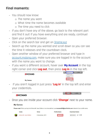### **Final moments:**

- You should now know:
	- o The name you want
	- o What time the name becomes available
	- o The time you need to click
- If you don't have any of the above, go back to the relevant part and find it out! If you have everything and are ready, continue!
- Open your preferred browser.
- Click on the search bar and get on<3name.xyz>
- Search up the name you wanted and scroll down so you can see the time it releases and the countdown clock.
- Open another window of your preferred browser and type in [account.mojang.com,](https://account.mojang.com/) make sure you are logged in to the account with the name you want to change.
- If you want a different account, hover over **My Account** in the top right corner and click **Log out**, then press **Log in** in the top left.

|                 |  |  | My Account -       | Games v | Help |
|-----------------|--|--|--------------------|---------|------|
| <b>EMOJANG</b>  |  |  | Redeem code        |         |      |
|                 |  |  | Settings           |         |      |
| <b>My Games</b> |  |  | Log out<br>Log out |         |      |

- If you aren't logged in just press **'Log in'** in the top left and enter your credentials.



Log in Games v Help

- Once you are inside your account click **'Change'** next to your name.

#### **My Games**

Please note! When you log in to Minecraft: Java Edition or on minecraft.net, use mcname009@mail1click.com instead of your profile name.

|            | Game                    | Since            | <b>Profile Name</b> | <b>Download Game</b>                                                            |  |
|------------|-------------------------|------------------|---------------------|---------------------------------------------------------------------------------|--|
| <b>MAN</b> | Minecraft: Java Edition | 4 November, 2011 | $ $ (Change)        | $\blacksquare$ Windows $\blacksquare$ $\triangle$ $\blacksquare$ $\blacksquare$ |  |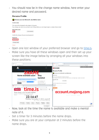- You should now be in the change name window, here enter your desired name and password.

| <b>Rename Profile</b>                                     |                                                                                                               |  |  |  |
|-----------------------------------------------------------|---------------------------------------------------------------------------------------------------------------|--|--|--|
| Choose your new Minecraft: Java Edition name              |                                                                                                               |  |  |  |
| <b>Current name:</b>                                      |                                                                                                               |  |  |  |
| This name will be displayed to other players in the game. | If you change your name now you have to wait 30 days before you can change it again, so please choose wisely! |  |  |  |
| New profile name                                          |                                                                                                               |  |  |  |
| I Iwg I                                                   | <b>Check availability</b>                                                                                     |  |  |  |
| Confirm this change with your account password.           |                                                                                                               |  |  |  |
| Password                                                  |                                                                                                               |  |  |  |
|                                                           |                                                                                                               |  |  |  |
| Change name                                               |                                                                                                               |  |  |  |

Cancel

- Open one last window of your preferred browser and go to [time.is.](https://time.is/)
- Make sure you have all these windows open and then set up your screen like the image below by arranging all your windows into these positions:



- Now, look at the time the name is available and make a mental note of it.
- Set a timer for 3 minutes before the name drops.
- Make sure you are at your computer at 2 minutes before the name drops.